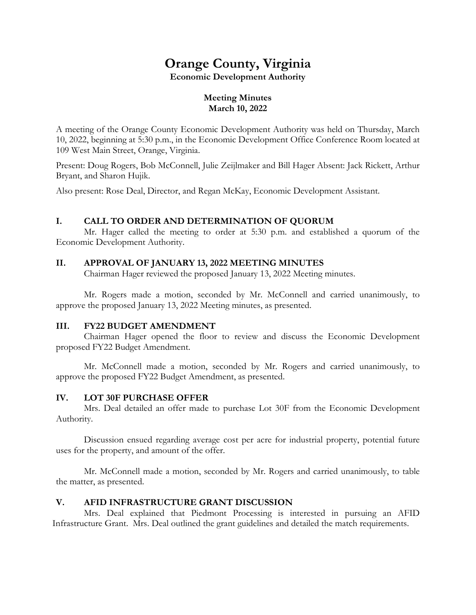# **Orange County, Virginia**

**Economic Development Authority**

# **Meeting Minutes March 10, 2022**

A meeting of the Orange County Economic Development Authority was held on Thursday, March 10, 2022, beginning at 5:30 p.m., in the Economic Development Office Conference Room located at 109 West Main Street, Orange, Virginia.

Present: Doug Rogers, Bob McConnell, Julie Zeijlmaker and Bill Hager Absent: Jack Rickett, Arthur Bryant, and Sharon Hujik.

Also present: Rose Deal, Director, and Regan McKay, Economic Development Assistant.

# **I. CALL TO ORDER AND DETERMINATION OF QUORUM**

Mr. Hager called the meeting to order at 5:30 p.m. and established a quorum of the Economic Development Authority.

# **II. APPROVAL OF JANUARY 13, 2022 MEETING MINUTES**

Chairman Hager reviewed the proposed January 13, 2022 Meeting minutes.

Mr. Rogers made a motion, seconded by Mr. McConnell and carried unanimously, to approve the proposed January 13, 2022 Meeting minutes, as presented.

# **III. FY22 BUDGET AMENDMENT**

Chairman Hager opened the floor to review and discuss the Economic Development proposed FY22 Budget Amendment.

Mr. McConnell made a motion, seconded by Mr. Rogers and carried unanimously, to approve the proposed FY22 Budget Amendment, as presented.

# **IV. LOT 30F PURCHASE OFFER**

Mrs. Deal detailed an offer made to purchase Lot 30F from the Economic Development Authority.

Discussion ensued regarding average cost per acre for industrial property, potential future uses for the property, and amount of the offer.

Mr. McConnell made a motion, seconded by Mr. Rogers and carried unanimously, to table the matter, as presented.

# **V. AFID INFRASTRUCTURE GRANT DISCUSSION**

Mrs. Deal explained that Piedmont Processing is interested in pursuing an AFID Infrastructure Grant. Mrs. Deal outlined the grant guidelines and detailed the match requirements.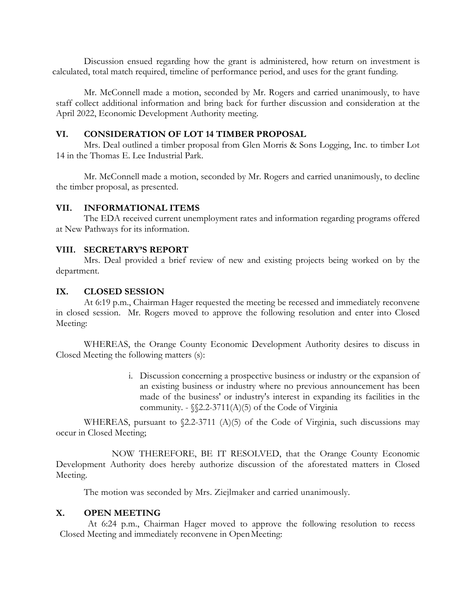Discussion ensued regarding how the grant is administered, how return on investment is calculated, total match required, timeline of performance period, and uses for the grant funding.

Mr. McConnell made a motion, seconded by Mr. Rogers and carried unanimously, to have staff collect additional information and bring back for further discussion and consideration at the April 2022, Economic Development Authority meeting.

### **VI. CONSIDERATION OF LOT 14 TIMBER PROPOSAL**

Mrs. Deal outlined a timber proposal from Glen Morris & Sons Logging, Inc. to timber Lot 14 in the Thomas E. Lee Industrial Park.

Mr. McConnell made a motion, seconded by Mr. Rogers and carried unanimously, to decline the timber proposal, as presented.

#### **VII. INFORMATIONAL ITEMS**

The EDA received current unemployment rates and information regarding programs offered at New Pathways for its information.

# **VIII. SECRETARY'S REPORT**

Mrs. Deal provided a brief review of new and existing projects being worked on by the department.

#### **IX. CLOSED SESSION**

At 6:19 p.m., Chairman Hager requested the meeting be recessed and immediately reconvene in closed session. Mr. Rogers moved to approve the following resolution and enter into Closed Meeting:

WHEREAS, the Orange County Economic Development Authority desires to discuss in Closed Meeting the following matters (s):

> i. Discussion concerning a prospective business or industry or the expansion of an existing business or industry where no previous announcement has been made of the business' or industry's interest in expanding its facilities in the community. -  $\S$ 2.2-3711(A)(5) of the Code of Virginia

WHEREAS, pursuant to §2.2-3711 (A)(5) of the Code of Virginia, such discussions may occur in Closed Meeting;

NOW THEREFORE, BE IT RESOLVED, that the Orange County Economic Development Authority does hereby authorize discussion of the aforestated matters in Closed Meeting.

The motion was seconded by Mrs. Ziejlmaker and carried unanimously.

# **X. OPEN MEETING**

At 6:24 p.m., Chairman Hager moved to approve the following resolution to recess Closed Meeting and immediately reconvene in OpenMeeting: